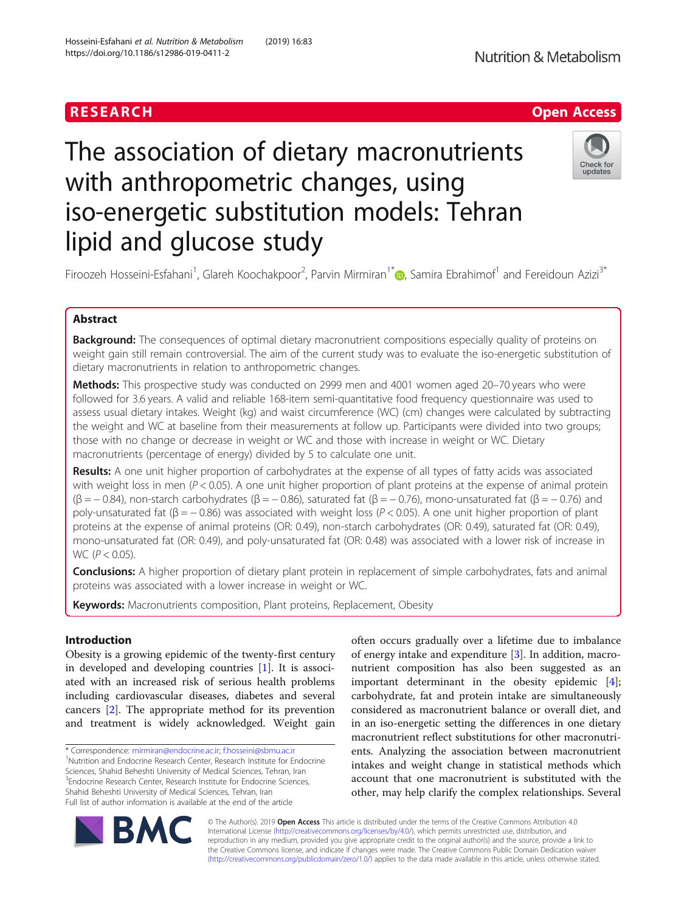## RESEARCH **RESEARCH CHANNEL EXECUTE ACCESS**

# The association of dietary macronutrients with anthropometric changes, using iso-energetic substitution models: Tehran lipid and glucose study



Firoozeh Hosseini-Esfahani<sup>1</sup>, Glareh Koochakpoor<sup>2</sup>, Parvin Mirmiran<sup>1[\\*](http://orcid.org/0000-0003-2391-4924)</sup>@, Samira Ebrahimof<sup>1</sup> and Fereidoun Azizi<sup>3\*</sup>

## Abstract

**Background:** The consequences of optimal dietary macronutrient compositions especially quality of proteins on weight gain still remain controversial. The aim of the current study was to evaluate the iso-energetic substitution of dietary macronutrients in relation to anthropometric changes.

Methods: This prospective study was conducted on 2999 men and 4001 women aged 20-70 years who were followed for 3.6 years. A valid and reliable 168-item semi-quantitative food frequency questionnaire was used to assess usual dietary intakes. Weight (kg) and waist circumference (WC) (cm) changes were calculated by subtracting the weight and WC at baseline from their measurements at follow up. Participants were divided into two groups; those with no change or decrease in weight or WC and those with increase in weight or WC. Dietary macronutrients (percentage of energy) divided by 5 to calculate one unit.

Results: A one unit higher proportion of carbohydrates at the expense of all types of fatty acids was associated with weight loss in men ( $P < 0.05$ ). A one unit higher proportion of plant proteins at the expense of animal protein  $(β = -0.84)$ , non-starch carbohydrates  $(β = -0.86)$ , saturated fat  $(β = -0.76)$ , mono-unsaturated fat  $(β = -0.76)$  and poly-unsaturated fat (β = - 0.86) was associated with weight loss ( $P < 0.05$ ). A one unit higher proportion of plant proteins at the expense of animal proteins (OR: 0.49), non-starch carbohydrates (OR: 0.49), saturated fat (OR: 0.49), mono-unsaturated fat (OR: 0.49), and poly-unsaturated fat (OR: 0.48) was associated with a lower risk of increase in WC ( $P < 0.05$ ).

Conclusions: A higher proportion of dietary plant protein in replacement of simple carbohydrates, fats and animal proteins was associated with a lower increase in weight or WC.

Keywords: Macronutrients composition, Plant proteins, Replacement, Obesity

## Introduction

Obesity is a growing epidemic of the twenty-first century in developed and developing countries [\[1](#page-7-0)]. It is associated with an increased risk of serious health problems including cardiovascular diseases, diabetes and several cancers [[2\]](#page-7-0). The appropriate method for its prevention and treatment is widely acknowledged. Weight gain

\* Correspondence: [mirmiran@endocrine.ac.ir](mailto:mirmiran@endocrine.ac.ir); [f.hosseini@sbmu.ac.ir](mailto:f.hosseini@sbmu.ac.ir) <sup>1</sup>

<sup>1</sup>Nutrition and Endocrine Research Center, Research Institute for Endocrine Sciences, Shahid Beheshti University of Medical Sciences, Tehran, Iran <sup>3</sup> Endocrine Research Center, Research Institute for Endocrine Sciences, Shahid Beheshti University of Medical Sciences, Tehran, Iran Full list of author information is available at the end of the article

often occurs gradually over a lifetime due to imbalance of energy intake and expenditure [[3\]](#page-7-0). In addition, macronutrient composition has also been suggested as an important determinant in the obesity epidemic [\[4](#page-7-0)]; carbohydrate, fat and protein intake are simultaneously considered as macronutrient balance or overall diet, and in an iso-energetic setting the differences in one dietary macronutrient reflect substitutions for other macronutrients. Analyzing the association between macronutrient intakes and weight change in statistical methods which account that one macronutrient is substituted with the other, may help clarify the complex relationships. Several



© The Author(s). 2019 **Open Access** This article is distributed under the terms of the Creative Commons Attribution 4.0 International License [\(http://creativecommons.org/licenses/by/4.0/](http://creativecommons.org/licenses/by/4.0/)), which permits unrestricted use, distribution, and reproduction in any medium, provided you give appropriate credit to the original author(s) and the source, provide a link to the Creative Commons license, and indicate if changes were made. The Creative Commons Public Domain Dedication waiver [\(http://creativecommons.org/publicdomain/zero/1.0/](http://creativecommons.org/publicdomain/zero/1.0/)) applies to the data made available in this article, unless otherwise stated.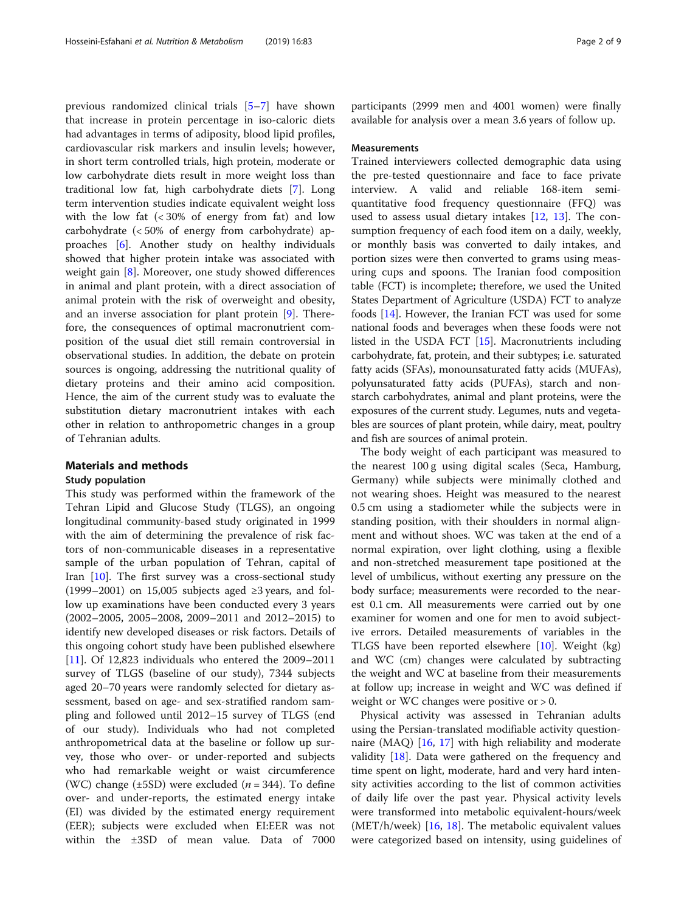previous randomized clinical trials [[5](#page-7-0)–[7\]](#page-7-0) have shown that increase in protein percentage in iso-caloric diets had advantages in terms of adiposity, blood lipid profiles, cardiovascular risk markers and insulin levels; however, in short term controlled trials, high protein, moderate or low carbohydrate diets result in more weight loss than traditional low fat, high carbohydrate diets [[7\]](#page-7-0). Long term intervention studies indicate equivalent weight loss with the low fat  $\left( < 30\% \right)$  of energy from fat) and low carbohydrate (< 50% of energy from carbohydrate) approaches [[6](#page-7-0)]. Another study on healthy individuals showed that higher protein intake was associated with weight gain [\[8](#page-7-0)]. Moreover, one study showed differences in animal and plant protein, with a direct association of animal protein with the risk of overweight and obesity, and an inverse association for plant protein [\[9](#page-7-0)]. Therefore, the consequences of optimal macronutrient composition of the usual diet still remain controversial in observational studies. In addition, the debate on protein sources is ongoing, addressing the nutritional quality of dietary proteins and their amino acid composition. Hence, the aim of the current study was to evaluate the substitution dietary macronutrient intakes with each other in relation to anthropometric changes in a group of Tehranian adults.

## Materials and methods

## Study population

This study was performed within the framework of the Tehran Lipid and Glucose Study (TLGS), an ongoing longitudinal community-based study originated in 1999 with the aim of determining the prevalence of risk factors of non-communicable diseases in a representative sample of the urban population of Tehran, capital of Iran  $[10]$  $[10]$  $[10]$ . The first survey was a cross-sectional study (1999–2001) on 15,005 subjects aged  $\geq$ 3 years, and follow up examinations have been conducted every 3 years (2002–2005, 2005–2008, 2009–2011 and 2012–2015) to identify new developed diseases or risk factors. Details of this ongoing cohort study have been published elsewhere [[11\]](#page-7-0). Of 12,823 individuals who entered the 2009–2011 survey of TLGS (baseline of our study), 7344 subjects aged 20–70 years were randomly selected for dietary assessment, based on age- and sex-stratified random sampling and followed until 2012–15 survey of TLGS (end of our study). Individuals who had not completed anthropometrical data at the baseline or follow up survey, those who over- or under-reported and subjects who had remarkable weight or waist circumference (WC) change ( $\pm$ 5SD) were excluded ( $n = 344$ ). To define over- and under-reports, the estimated energy intake (EI) was divided by the estimated energy requirement (EER); subjects were excluded when EI:EER was not within the ±3SD of mean value. Data of 7000

participants (2999 men and 4001 women) were finally available for analysis over a mean 3.6 years of follow up.

#### Measurements

Trained interviewers collected demographic data using the pre-tested questionnaire and face to face private interview. A valid and reliable 168-item semiquantitative food frequency questionnaire (FFQ) was used to assess usual dietary intakes [\[12](#page-7-0), [13\]](#page-7-0). The consumption frequency of each food item on a daily, weekly, or monthly basis was converted to daily intakes, and portion sizes were then converted to grams using measuring cups and spoons. The Iranian food composition table (FCT) is incomplete; therefore, we used the United States Department of Agriculture (USDA) FCT to analyze foods [\[14\]](#page-7-0). However, the Iranian FCT was used for some national foods and beverages when these foods were not listed in the USDA FCT [\[15\]](#page-7-0). Macronutrients including carbohydrate, fat, protein, and their subtypes; i.e. saturated fatty acids (SFAs), monounsaturated fatty acids (MUFAs), polyunsaturated fatty acids (PUFAs), starch and nonstarch carbohydrates, animal and plant proteins, were the exposures of the current study. Legumes, nuts and vegetables are sources of plant protein, while dairy, meat, poultry and fish are sources of animal protein.

The body weight of each participant was measured to the nearest 100 g using digital scales (Seca, Hamburg, Germany) while subjects were minimally clothed and not wearing shoes. Height was measured to the nearest 0.5 cm using a stadiometer while the subjects were in standing position, with their shoulders in normal alignment and without shoes. WC was taken at the end of a normal expiration, over light clothing, using a flexible and non-stretched measurement tape positioned at the level of umbilicus, without exerting any pressure on the body surface; measurements were recorded to the nearest 0.1 cm. All measurements were carried out by one examiner for women and one for men to avoid subjective errors. Detailed measurements of variables in the TLGS have been reported elsewhere [\[10\]](#page-7-0). Weight (kg) and WC (cm) changes were calculated by subtracting the weight and WC at baseline from their measurements at follow up; increase in weight and WC was defined if weight or WC changes were positive or  $> 0$ .

Physical activity was assessed in Tehranian adults using the Persian-translated modifiable activity questionnaire (MAQ) [\[16](#page-7-0), [17\]](#page-7-0) with high reliability and moderate validity [\[18](#page-7-0)]. Data were gathered on the frequency and time spent on light, moderate, hard and very hard intensity activities according to the list of common activities of daily life over the past year. Physical activity levels were transformed into metabolic equivalent-hours/week (MET/h/week)  $[16, 18]$  $[16, 18]$  $[16, 18]$  $[16, 18]$ . The metabolic equivalent values were categorized based on intensity, using guidelines of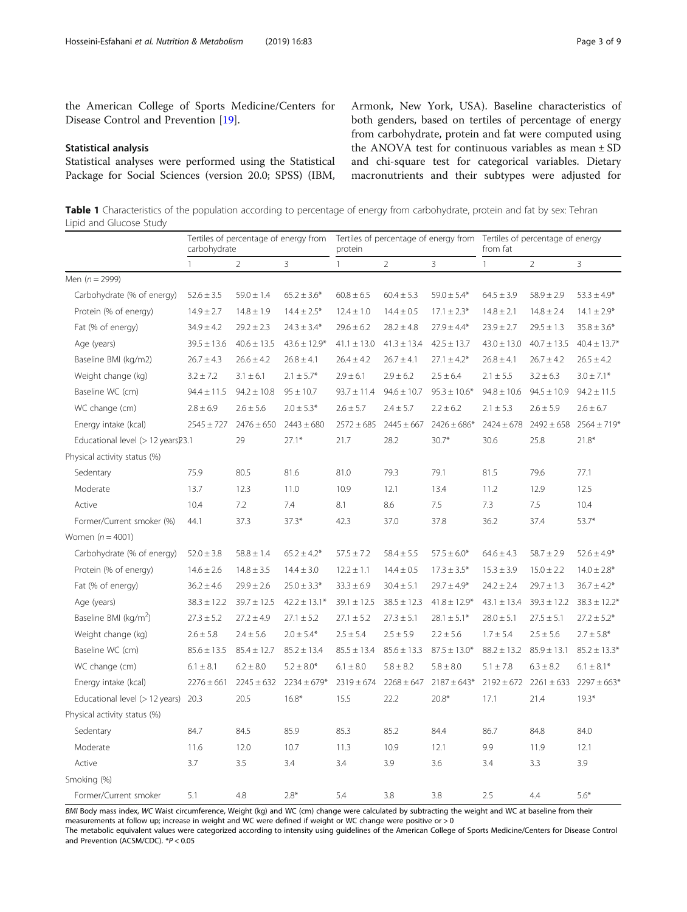<span id="page-2-0"></span>the American College of Sports Medicine/Centers for Disease Control and Prevention [[19\]](#page-7-0).

#### Statistical analysis

Statistical analyses were performed using the Statistical Package for Social Sciences (version 20.0; SPSS) (IBM, Armonk, New York, USA). Baseline characteristics of both genders, based on tertiles of percentage of energy from carbohydrate, protein and fat were computed using the ANOVA test for continuous variables as mean ± SD and chi-square test for categorical variables. Dietary macronutrients and their subtypes were adjusted for

Table 1 Characteristics of the population according to percentage of energy from carbohydrate, protein and fat by sex: Tehran Lipid and Glucose Study

|                                    | carbohydrate    |                 |                  | Tertiles of percentage of energy from Tertiles of percentage of energy from Tertiles of percentage of energy<br>protein |                 |                                   | from fat                        |                 |                  |
|------------------------------------|-----------------|-----------------|------------------|-------------------------------------------------------------------------------------------------------------------------|-----------------|-----------------------------------|---------------------------------|-----------------|------------------|
|                                    | $\mathbf{1}$    | $\overline{2}$  | 3                | $\mathbf{1}$                                                                                                            | $\overline{2}$  | 3                                 | $\mathbf{1}$                    | $\overline{2}$  | 3                |
| Men $(n = 2999)$                   |                 |                 |                  |                                                                                                                         |                 |                                   |                                 |                 |                  |
| Carbohydrate (% of energy)         | $52.6 \pm 3.5$  | $59.0 \pm 1.4$  | $65.2 \pm 3.6*$  | $60.8 \pm 6.5$                                                                                                          | $60.4 \pm 5.3$  | $59.0 \pm 5.4*$                   | $64.5 \pm 3.9$                  | $58.9 \pm 2.9$  | $53.3 \pm 4.9*$  |
| Protein (% of energy)              | $14.9 \pm 2.7$  | $14.8 \pm 1.9$  | $14.4 \pm 2.5*$  | $12.4 \pm 1.0$                                                                                                          | $14.4 \pm 0.5$  | $17.1 \pm 2.3*$                   | $14.8 \pm 2.1$                  | $14.8 \pm 2.4$  | $14.1 \pm 2.9*$  |
| Fat (% of energy)                  | $34.9 \pm 4.2$  | $29.2 \pm 2.3$  | $24.3 \pm 3.4*$  | $29.6 \pm 6.2$                                                                                                          | $28.2 \pm 4.8$  | $27.9 \pm 4.4*$                   | $23.9 \pm 2.7$                  | $29.5 \pm 1.3$  | $35.8 \pm 3.6*$  |
| Age (years)                        | $39.5 \pm 13.6$ | $40.6 \pm 13.5$ | $43.6 \pm 12.9*$ | $41.1 \pm 13.0$                                                                                                         | $41.3 \pm 13.4$ | $42.5 \pm 13.7$                   | $43.0 \pm 13.0$                 | $40.7 \pm 13.5$ | $40.4 \pm 13.7*$ |
| Baseline BMI (kg/m2)               | $26.7 \pm 4.3$  | $26.6 \pm 4.2$  | $26.8 \pm 4.1$   | $26.4 \pm 4.2$                                                                                                          | $26.7 \pm 4.1$  | $27.1 \pm 4.2*$                   | $26.8 \pm 4.1$                  | $26.7 \pm 4.2$  | $26.5 \pm 4.2$   |
| Weight change (kg)                 | $3.2 \pm 7.2$   | $3.1 \pm 6.1$   | $2.1 \pm 5.7*$   | $2.9 \pm 6.1$                                                                                                           | $2.9 \pm 6.2$   | $2.5 \pm 6.4$                     | $2.1 \pm 5.5$                   | $3.2 \pm 6.3$   | $3.0 \pm 7.1*$   |
| Baseline WC (cm)                   | $94.4 \pm 11.5$ | $94.2 \pm 10.8$ | $95 \pm 10.7$    | $93.7 \pm 11.4$                                                                                                         | $94.6 \pm 10.7$ | $95.3 \pm 10.6*$                  | $94.8 \pm 10.6$                 | $94.5 \pm 10.9$ | $94.2 \pm 11.5$  |
| WC change (cm)                     | $2.8 \pm 6.9$   | $2.6 \pm 5.6$   | $2.0 \pm 5.3*$   | $2.6 \pm 5.7$                                                                                                           | $2.4 \pm 5.7$   | $2.2 \pm 6.2$                     | $2.1 \pm 5.3$                   | $2.6 \pm 5.9$   | $2.6 \pm 6.7$    |
| Energy intake (kcal)               | $2545 \pm 727$  | $2476 \pm 650$  | $2443 \pm 680$   | $2572 \pm 685$                                                                                                          | $2445 \pm 667$  | $2426 \pm 686*$                   | $2424 \pm 678$                  | $2492 \pm 658$  | $2564 \pm 719*$  |
| Educational level (> 12 years)23.1 |                 | 29              | $27.1*$          | 21.7                                                                                                                    | 28.2            | $30.7*$                           | 30.6                            | 25.8            | $21.8*$          |
| Physical activity status (%)       |                 |                 |                  |                                                                                                                         |                 |                                   |                                 |                 |                  |
| Sedentary                          | 75.9            | 80.5            | 81.6             | 81.0                                                                                                                    | 79.3            | 79.1                              | 81.5                            | 79.6            | 77.1             |
| Moderate                           | 13.7            | 12.3            | 11.0             | 10.9                                                                                                                    | 12.1            | 13.4                              | 11.2                            | 12.9            | 12.5             |
| Active                             | 10.4            | 7.2             | 7.4              | 8.1                                                                                                                     | 8.6             | 7.5                               | 7.3                             | 7.5             | 10.4             |
| Former/Current smoker (%)          | 44.1            | 37.3            | $37.3*$          | 42.3                                                                                                                    | 37.0            | 37.8                              | 36.2                            | 37.4            | 53.7*            |
| Women $(n = 4001)$                 |                 |                 |                  |                                                                                                                         |                 |                                   |                                 |                 |                  |
| Carbohydrate (% of energy)         | $52.0 \pm 3.8$  | $58.8 \pm 1.4$  | $65.2 \pm 4.2*$  | $57.5 \pm 7.2$                                                                                                          | $58.4 \pm 5.5$  | $57.5 \pm 6.0*$                   | $64.6 \pm 4.3$                  | $58.7 \pm 2.9$  | $52.6 \pm 4.9*$  |
| Protein (% of energy)              | $14.6 \pm 2.6$  | $14.8 \pm 3.5$  | $14.4 \pm 3.0$   | $12.2 \pm 1.1$                                                                                                          | $14.4 \pm 0.5$  | $17.3\pm3.5^*$                    | $15.3 \pm 3.9$                  | $15.0 \pm 2.2$  | $14.0 \pm 2.8*$  |
| Fat (% of energy)                  | $36.2 \pm 4.6$  | $29.9 \pm 2.6$  | $25.0 \pm 3.3*$  | $33.3 \pm 6.9$                                                                                                          | $30.4 \pm 5.1$  | $29.7 \pm 4.9*$                   | $24.2 \pm 2.4$                  | $29.7 \pm 1.3$  | $36.7 \pm 4.2*$  |
| Age (years)                        | $38.3 \pm 12.2$ | $39.7 \pm 12.5$ | $42.2 \pm 13.1*$ | $39.1 \pm 12.5$                                                                                                         | $38.5 \pm 12.3$ | $41.8 \pm 12.9*$                  | $43.1 \pm 13.4$                 | $39.3 \pm 12.2$ | $38.3 \pm 12.2*$ |
| Baseline BMI (kg/m <sup>2</sup> )  | $27.3 \pm 5.2$  | $27.2 \pm 4.9$  | $27.1 \pm 5.2$   | $27.1 \pm 5.2$                                                                                                          | $27.3 \pm 5.1$  | $28.1 \pm 5.1*$                   | $28.0 \pm 5.1$                  | $27.5 \pm 5.1$  | $27.2 \pm 5.2*$  |
| Weight change (kg)                 | $2.6 \pm 5.8$   | $2.4\pm5.6$     | $2.0 \pm 5.4*$   | $2.5 \pm 5.4$                                                                                                           | $2.5 \pm 5.9$   | $2.2 \pm 5.6$                     | $1.7 \pm 5.4$                   | $2.5 \pm 5.6$   | $2.7 \pm 5.8*$   |
| Baseline WC (cm)                   | $85.6 \pm 13.5$ | $85.4 \pm 12.7$ | $85.2 \pm 13.4$  | $85.5 \pm 13.4$                                                                                                         |                 | $85.6 \pm 13.3$ $87.5 \pm 13.0^*$ | $88.2 \pm 13.2$ $85.9 \pm 13.1$ |                 | $85.2 \pm 13.3*$ |
| WC change (cm)                     | $6.1 \pm 8.1$   | $6.2 \pm 8.0$   | $5.2\pm8.0^{*}$  | $6.1 \pm 8.0$                                                                                                           | $5.8 \pm 8.2$   | $5.8 \pm 8.0$                     | $5.1 \pm 7.8$                   | $6.3 \pm 8.2$   | $6.1 \pm 8.1*$   |
| Energy intake (kcal)               | $2276 \pm 661$  | $2245 \pm 632$  | $2234 \pm 679*$  | $2319 \pm 674$                                                                                                          |                 | $2268 \pm 647$ $2187 \pm 643*$    | $2192 \pm 672$                  | $2261 \pm 633$  | $2297 \pm 663*$  |
| Educational level (> 12 years)     | 20.3            | 20.5            | $16.8*$          | 15.5                                                                                                                    | 22.2            | $20.8*$                           | 17.1                            | 21.4            | $19.3*$          |
| Physical activity status (%)       |                 |                 |                  |                                                                                                                         |                 |                                   |                                 |                 |                  |
| Sedentary                          | 84.7            | 84.5            | 85.9             | 85.3                                                                                                                    | 85.2            | 84.4                              | 86.7                            | 84.8            | 84.0             |
| Moderate                           | 11.6            | 12.0            | 10.7             | 11.3                                                                                                                    | 10.9            | 12.1                              | 9.9                             | 11.9            | 12.1             |
| Active                             | 3.7             | 3.5             | 3.4              | 3.4                                                                                                                     | 3.9             | 3.6                               | 3.4                             | 3.3             | 3.9              |
| Smoking (%)                        |                 |                 |                  |                                                                                                                         |                 |                                   |                                 |                 |                  |
| Former/Current smoker              | 5.1             | 4.8             | $2.8*$           | 5.4                                                                                                                     | 3.8             | 3.8                               | 2.5                             | 4.4             | $5.6*$           |

BMI Body mass index, WC Waist circumference, Weight (kg) and WC (cm) change were calculated by subtracting the weight and WC at baseline from their measurements at follow up; increase in weight and WC were defined if weight or WC change were positive or > 0 The metabolic equivalent values were categorized according to intensity using guidelines of the American College of Sports Medicine/Centers for Disease Control

and Prevention (ACSM/CDC). \*P < 0.05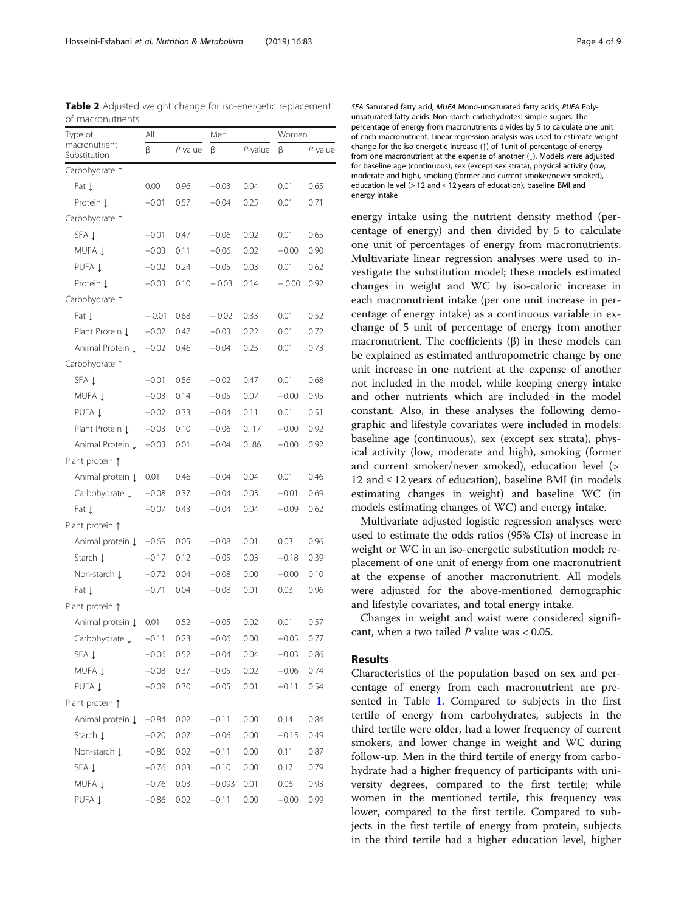<span id="page-3-0"></span>Table 2 Adjusted weight change for iso-energetic replacement of macronutrients

| Type of                       | All     |            | Men      |         | Women   |            |  |
|-------------------------------|---------|------------|----------|---------|---------|------------|--|
| macronutrient<br>Substitution | β       | $P$ -value | β        | P-value | β       | $P$ -value |  |
| Carbohydrate 1                |         |            |          |         |         |            |  |
| Fat J                         | 0.00    | 0.96       | $-0.03$  | 0.04    | 0.01    | 0.65       |  |
| Protein Į                     | $-0.01$ | 0.57       | $-0.04$  | 0.25    | 0.01    | 0.71       |  |
| Carbohydrate 1                |         |            |          |         |         |            |  |
| SFA Į                         | $-0.01$ | 0.47       | $-0.06$  | 0.02    | 0.01    | 0.65       |  |
| MUFA 1                        | $-0.03$ | 0.11       | $-0.06$  | 0.02    | $-0.00$ | 0.90       |  |
| PUFA 1                        | $-0.02$ | 0.24       | $-0.05$  | 0.03    | 0.01    | 0.62       |  |
| Protein L                     | $-0.03$ | 0.10       | $-0.03$  | 0.14    | $-0.00$ | 0.92       |  |
| Carbohydrate 1                |         |            |          |         |         |            |  |
| Fat J                         | $-0.01$ | 0.68       | $-0.02$  | 0.33    | 0.01    | 0.52       |  |
| Plant Protein ↓               | $-0.02$ | 0.47       | $-0.03$  | 0.22    | 0.01    | 0.72       |  |
| Animal Protein Į              | $-0.02$ | 0.46       | $-0.04$  | 0.25    | 0.01    | 0.73       |  |
| Carbohydrate 1                |         |            |          |         |         |            |  |
| SFA Į                         | $-0.01$ | 0.56       | $-0.02$  | 0.47    | 0.01    | 0.68       |  |
| MUFA 1                        | $-0.03$ | 0.14       | $-0.05$  | 0.07    | $-0.00$ | 0.95       |  |
| PUFA 1                        | $-0.02$ | 0.33       | $-0.04$  | 0.11    | 0.01    | 0.51       |  |
| Plant Protein ↓               | $-0.03$ | 0.10       | $-0.06$  | 0.17    | $-0.00$ | 0.92       |  |
| Animal Protein J              | $-0.03$ | 0.01       | $-0.04$  | 0.86    | $-0.00$ | 0.92       |  |
| Plant protein 1               |         |            |          |         |         |            |  |
| Animal protein Į              | 0.01    | 0.46       | $-0.04$  | 0.04    | 0.01    | 0.46       |  |
| Carbohydrate Į                | $-0.08$ | 0.37       | $-0.04$  | 0.03    | $-0.01$ | 0.69       |  |
| Fat ↓                         | $-0.07$ | 0.43       | $-0.04$  | 0.04    | $-0.09$ | 0.62       |  |
| Plant protein 1               |         |            |          |         |         |            |  |
| Animal protein Į              | $-0.69$ | 0.05       | $-0.08$  | 0.01    | 0.03    | 0.96       |  |
| Starch L                      | $-0.17$ | 0.12       | $-0.05$  | 0.03    | $-0.18$ | 0.39       |  |
| Non-starch J                  | $-0.72$ | 0.04       | $-0.08$  | 0.00    | $-0.00$ | 0.10       |  |
| Fat Į                         | $-0.71$ | 0.04       | $-0.08$  | 0.01    | 0.03    | 0.96       |  |
| Plant protein 1               |         |            |          |         |         |            |  |
| Animal protein Į              | 0.01    | 0.52       | $-0.05$  | 0.02    | 0.01    | 0.57       |  |
| Carbohydrate J                | $-0.11$ | 0.23       | $-0.06$  | 0.00    | $-0.05$ | 0.77       |  |
| SFA Į                         | $-0.06$ | 0.52       | $-0.04$  | 0.04    | $-0.03$ | 0.86       |  |
| MUFA Į                        | $-0.08$ | 0.37       | $-0.05$  | 0.02    | $-0.06$ | 0.74       |  |
| PUFA 1                        | $-0.09$ | 0.30       | $-0.05$  | 0.01    | $-0.11$ | 0.54       |  |
| Plant protein 1               |         |            |          |         |         |            |  |
| Animal protein Į              | $-0.84$ | 0.02       | $-0.11$  | 0.00    | 0.14    | 0.84       |  |
| Starch L                      | $-0.20$ | 0.07       | $-0.06$  | 0.00    | $-0.15$ | 0.49       |  |
| Non-starch ↓                  | $-0.86$ | 0.02       | $-0.11$  | 0.00    | 0.11    | 0.87       |  |
| SFA Į                         | $-0.76$ | 0.03       | $-0.10$  | 0.00    | 0.17    | 0.79       |  |
| MUFA Į                        | $-0.76$ | 0.03       | $-0.093$ | 0.01    | 0.06    | 0.93       |  |
| PUFA Į                        | $-0.86$ | 0.02       | $-0.11$  | 0.00    | $-0.00$ | 0.99       |  |

SFA Saturated fatty acid, MUFA Mono-unsaturated fatty acids, PUFA Polyunsaturated fatty acids. Non-starch carbohydrates: simple sugars. The percentage of energy from macronutrients divides by 5 to calculate one unit of each macronutrient. Linear regression analysis was used to estimate weight change for the iso-energetic increase (↑) of 1unit of percentage of energy from one macronutrient at the expense of another ( $\downarrow$ ). Models were adjusted for baseline age (continuous), sex (except sex strata), physical activity (low, moderate and high), smoking (former and current smoker/never smoked), education le vel  $(> 12$  and  $\leq 12$  years of education), baseline BMI and energy intake

energy intake using the nutrient density method (percentage of energy) and then divided by 5 to calculate one unit of percentages of energy from macronutrients. Multivariate linear regression analyses were used to investigate the substitution model; these models estimated changes in weight and WC by iso-caloric increase in each macronutrient intake (per one unit increase in percentage of energy intake) as a continuous variable in exchange of 5 unit of percentage of energy from another macronutrient. The coefficients  $(β)$  in these models can be explained as estimated anthropometric change by one unit increase in one nutrient at the expense of another not included in the model, while keeping energy intake and other nutrients which are included in the model constant. Also, in these analyses the following demographic and lifestyle covariates were included in models: baseline age (continuous), sex (except sex strata), physical activity (low, moderate and high), smoking (former and current smoker/never smoked), education level (> 12 and ≤ 12 years of education), baseline BMI (in models estimating changes in weight) and baseline WC (in models estimating changes of WC) and energy intake.

Multivariate adjusted logistic regression analyses were used to estimate the odds ratios (95% CIs) of increase in weight or WC in an iso-energetic substitution model; replacement of one unit of energy from one macronutrient at the expense of another macronutrient. All models were adjusted for the above-mentioned demographic and lifestyle covariates, and total energy intake.

Changes in weight and waist were considered significant, when a two tailed  $P$  value was < 0.05.

## Results

Characteristics of the population based on sex and percentage of energy from each macronutrient are presented in Table [1](#page-2-0). Compared to subjects in the first tertile of energy from carbohydrates, subjects in the third tertile were older, had a lower frequency of current smokers, and lower change in weight and WC during follow-up. Men in the third tertile of energy from carbohydrate had a higher frequency of participants with university degrees, compared to the first tertile; while women in the mentioned tertile, this frequency was lower, compared to the first tertile. Compared to subjects in the first tertile of energy from protein, subjects in the third tertile had a higher education level, higher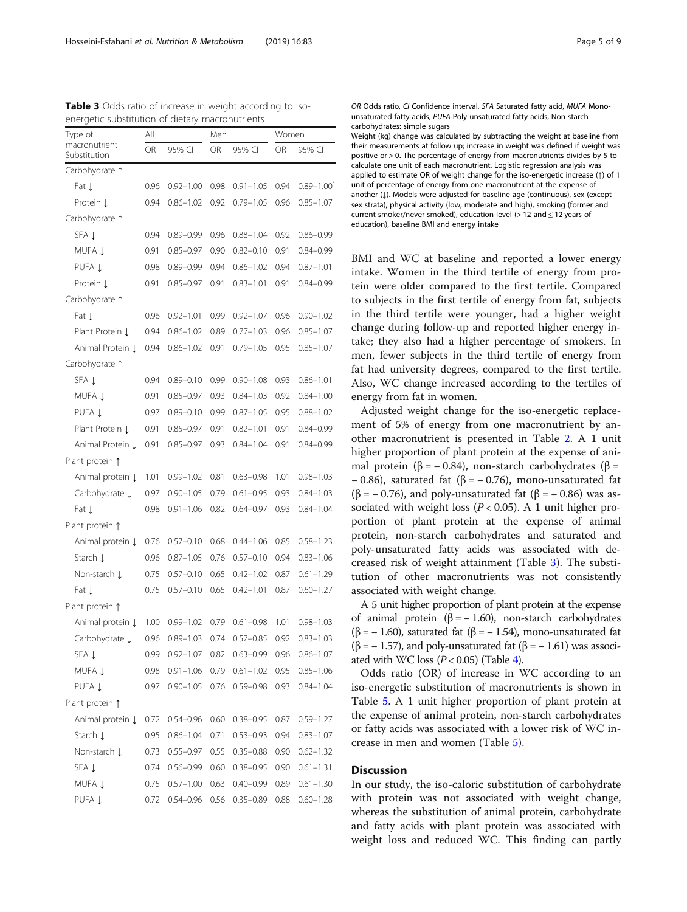| Type of                       | Αll  |               | Men  |               | Women |               |
|-------------------------------|------|---------------|------|---------------|-------|---------------|
| macronutrient<br>Substitution | OR   | 95% CI        | OR   | 95% CI        | OR    | 95% CI        |
| Carbohydrate 1                |      |               |      |               |       |               |
| Fat J                         | 0.96 | $0.92 - 1.00$ | 0.98 | $0.91 - 1.05$ | 0.94  | $0.89 - 1.00$ |
| Protein L                     | 0.94 | $0.86 - 1.02$ | 0.92 | $0.79 - 1.05$ | 0.96  | $0.85 - 1.07$ |
| Carbohydrate 1                |      |               |      |               |       |               |
| SFA Į                         | 0.94 | $0.89 - 0.99$ | 0.96 | $0.88 - 1.04$ | 0.92  | $0.86 - 0.99$ |
| MUFA 1                        | 0.91 | $0.85 - 0.97$ | 0.90 | $0.82 - 0.10$ | 0.91  | $0.84 - 0.99$ |
| PUFA Į                        | 0.98 | $0.89 - 0.99$ | 0.94 | $0.86 - 1.02$ | 0.94  | $0.87 - 1.01$ |
| Protein 1                     | 0.91 | $0.85 - 0.97$ | 0.91 | $0.83 - 1.01$ | 0.91  | $0.84 - 0.99$ |
| Carbohydrate 1                |      |               |      |               |       |               |
| Fat L                         | 0.96 | $0.92 - 1.01$ | 0.99 | $0.92 - 1.07$ | 0.96  | $0.90 - 1.02$ |
| Plant Protein J               | 0.94 | $0.86 - 1.02$ | 0.89 | $0.77 - 1.03$ | 0.96  | $0.85 - 1.07$ |
| Animal Protein J              | 0.94 | $0.86 - 1.02$ | 0.91 | $0.79 - 1.05$ | 0.95  | $0.85 - 1.07$ |
| Carbohydrate 1                |      |               |      |               |       |               |
| SFA 1                         | 0.94 | $0.89 - 0.10$ | 0.99 | $0.90 - 1.08$ | 0.93  | $0.86 - 1.01$ |
| MUFA 1                        | 0.91 | $0.85 - 0.97$ | 0.93 | $0.84 - 1.03$ | 0.92  | $0.84 - 1.00$ |
| PUFA 1                        | 0.97 | $0.89 - 0.10$ | 0.99 | $0.87 - 1.05$ | 0.95  | $0.88 - 1.02$ |
| Plant Protein J               | 0.91 | $0.85 - 0.97$ | 0.91 | $0.82 - 1.01$ | 0.91  | $0.84 - 0.99$ |
| Animal Protein J              | 0.91 | $0.85 - 0.97$ | 0.93 | $0.84 - 1.04$ | 0.91  | $0.84 - 0.99$ |
| Plant protein 1               |      |               |      |               |       |               |
| Animal protein Į              | 1.01 | $0.99 - 1.02$ | 0.81 | $0.63 - 0.98$ | 1.01  | $0.98 - 1.03$ |
| Carbohydrate J                | 0.97 | $0.90 - 1.05$ | 0.79 | $0.61 - 0.95$ | 0.93  | $0.84 - 1.03$ |
| Fat J                         | 0.98 | $0.91 - 1.06$ | 0.82 | $0.64 - 0.97$ | 0.93  | $0.84 - 1.04$ |
| Plant protein 1               |      |               |      |               |       |               |
| Animal protein J              | 0.76 | $0.57 - 0.10$ | 0.68 | $0.44 - 1.06$ | 0.85  | $0.58 - 1.23$ |
| Starch Į                      | 0.96 | $0.87 - 1.05$ | 0.76 | $0.57 - 0.10$ | 0.94  | $0.83 - 1.06$ |
| Non-starch L                  | 0.75 | $0.57 - 0.10$ | 0.65 | $0.42 - 1.02$ | 0.87  | $0.61 - 1.29$ |
| Fat 1                         | 0.75 | $0.57 - 0.10$ | 0.65 | $0.42 - 1.01$ | 0.87  | $0.60 - 1.27$ |
| Plant protein 1               |      |               |      |               |       |               |
| Animal protein Į              | 1.00 | $0.99 - 1.02$ | 0.79 | $0.61 - 0.98$ | 1.01  | $0.98 - 1.03$ |
| Carbohydrate Į                | 0.96 | $0.89 - 1.03$ | 0.74 | $0.57 - 0.85$ | 0.92  | $0.83 - 1.03$ |
| SFA Į                         | 0.99 | $0.92 - 1.07$ | 0.82 | $0.63 - 0.99$ | 0.96  | $0.86 - 1.07$ |
| MUFA Į                        | 0.98 | $0.91 - 1.06$ | 0.79 | $0.61 - 1.02$ | 0.95  | $0.85 - 1.06$ |
| PUFA 1                        | 0.97 | $0.90 - 1.05$ | 0.76 | 0.59–0.98     | 0.93  | $0.84 - 1.04$ |
| Plant protein 1               |      |               |      |               |       |               |
| Animal protein Į              | 0.72 | $0.54 - 0.96$ | 0.60 | $0.38 - 0.95$ | 0.87  | $0.59 - 1.27$ |
| Starch L                      | 0.95 | $0.86 - 1.04$ | 0.71 | $0.53 - 0.93$ | 0.94  | $0.83 - 1.07$ |
| Non-starch Į                  | 0.73 | $0.55 - 0.97$ | 0.55 | $0.35 - 0.88$ | 0.90  | $0.62 - 1.32$ |
| SFA Į                         | 0.74 | $0.56 - 0.99$ | 0.60 | $0.38 - 0.95$ | 0.90  | $0.61 - 1.31$ |
| MUFA 1                        | 0.75 | $0.57 - 1.00$ | 0.63 | $0.40 - 0.99$ | 0.89  | $0.61 - 1.30$ |
| PUFA Į                        | 0.72 | $0.54 - 0.96$ | 0.56 | $0.35 - 0.89$ | 0.88  | $0.60 - 1.28$ |

Table 3 Odds ratio of increase in weight according to isoenergetic substitution of dietary macronutrients

OR Odds ratio, CI Confidence interval, SFA Saturated fatty acid, MUFA Monounsaturated fatty acids, PUFA Poly-unsaturated fatty acids, Non-starch carbohydrates: simple sugars

Weight (kg) change was calculated by subtracting the weight at baseline from their measurements at follow up; increase in weight was defined if weight was positive or > 0. The percentage of energy from macronutrients divides by 5 to calculate one unit of each macronutrient. Logistic regression analysis was applied to estimate OR of weight change for the iso-energetic increase (↑) of 1 unit of percentage of energy from one macronutrient at the expense of another (1). Models were adjusted for baseline age (continuous), sex (except sex strata), physical activity (low, moderate and high), smoking (former and current smoker/never smoked), education level (> 12 and ≤ 12 years of education), baseline BMI and energy intake

BMI and WC at baseline and reported a lower energy intake. Women in the third tertile of energy from protein were older compared to the first tertile. Compared to subjects in the first tertile of energy from fat, subjects in the third tertile were younger, had a higher weight change during follow-up and reported higher energy intake; they also had a higher percentage of smokers. In men, fewer subjects in the third tertile of energy from fat had university degrees, compared to the first tertile. Also, WC change increased according to the tertiles of energy from fat in women.

Adjusted weight change for the iso-energetic replacement of 5% of energy from one macronutrient by another macronutrient is presented in Table [2](#page-3-0). A 1 unit higher proportion of plant protein at the expense of animal protein (β = - 0.84), non-starch carbohydrates (β =  $-0.86$ ), saturated fat (β =  $-0.76$ ), mono-unsaturated fat ( $\beta$  = – 0.76), and poly-unsaturated fat ( $\beta$  = – 0.86) was associated with weight loss ( $P < 0.05$ ). A 1 unit higher proportion of plant protein at the expense of animal protein, non-starch carbohydrates and saturated and poly-unsaturated fatty acids was associated with decreased risk of weight attainment (Table 3). The substitution of other macronutrients was not consistently associated with weight change.

A 5 unit higher proportion of plant protein at the expense of animal protein (β = − 1.60), non-starch carbohydrates ( $\beta$  = -1.60), saturated fat ( $\beta$  = -1.54), mono-unsaturated fat  $(\beta = -1.57)$ , and poly-unsaturated fat  $(\beta = -1.61)$  was associated with WC loss  $(P < 0.05)$  (Table [4](#page-5-0)).

Odds ratio (OR) of increase in WC according to an iso-energetic substitution of macronutrients is shown in Table [5.](#page-6-0) A 1 unit higher proportion of plant protein at the expense of animal protein, non-starch carbohydrates or fatty acids was associated with a lower risk of WC increase in men and women (Table [5](#page-6-0)).

## **Discussion**

In our study, the iso-caloric substitution of carbohydrate with protein was not associated with weight change, whereas the substitution of animal protein, carbohydrate and fatty acids with plant protein was associated with weight loss and reduced WC. This finding can partly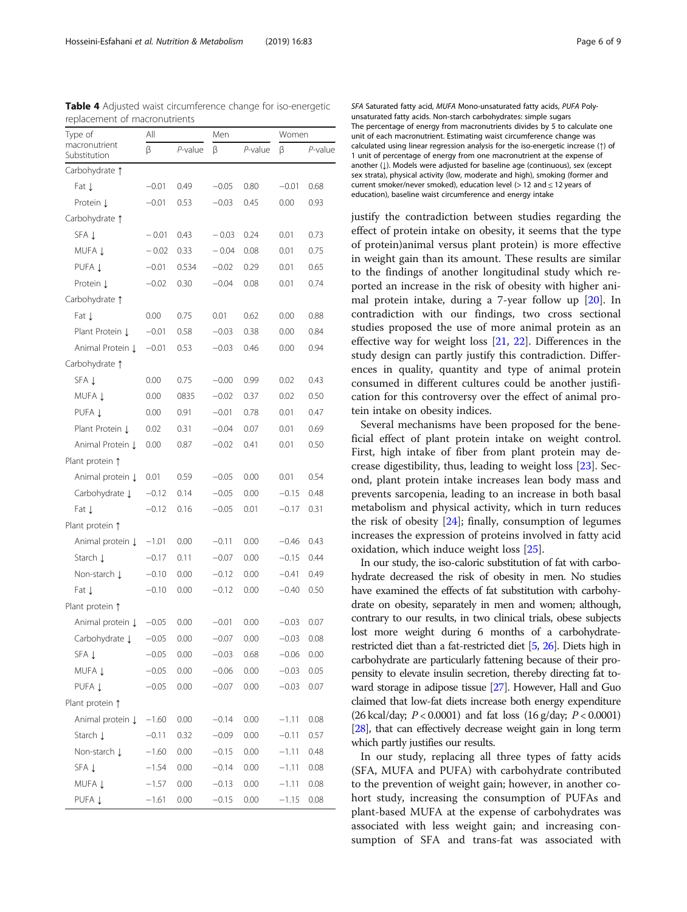| - <u>1</u> -<br>Type of         | All     |         | Men     |         | Women   |         |
|---------------------------------|---------|---------|---------|---------|---------|---------|
| macronutrient<br>Substitution   | β       | P-value | β       | P-value | β       | P-value |
| Carbohydrate 1                  |         |         |         |         |         |         |
| Fat Į                           | $-0.01$ | 0.49    | $-0.05$ | 0.80    | $-0.01$ | 0.68    |
| Protein L                       | $-0.01$ | 0.53    | $-0.03$ | 0.45    | 0.00    | 0.93    |
| Carbohydrate 1                  |         |         |         |         |         |         |
| SFA Į                           | $-0.01$ | 0.43    | $-0.03$ | 0.24    | 0.01    | 0.73    |
| MUFA Į                          | $-0.02$ | 0.33    | $-0.04$ | 0.08    | 0.01    | 0.75    |
| PUFA Į                          | $-0.01$ | 0.534   | $-0.02$ | 0.29    | 0.01    | 0.65    |
| Protein Į                       | $-0.02$ | 0.30    | $-0.04$ | 0.08    | 0.01    | 0.74    |
| Carbohydrate 1                  |         |         |         |         |         |         |
| Fat J                           | 0.00    | 0.75    | 0.01    | 0.62    | 0.00    | 0.88    |
| Plant Protein Į                 | $-0.01$ | 0.58    | $-0.03$ | 0.38    | 0.00    | 0.84    |
| Animal Protein Į                | $-0.01$ | 0.53    | $-0.03$ | 0.46    | 0.00    | 0.94    |
| Carbohydrate 1                  |         |         |         |         |         |         |
| SFA Į                           | 0.00    | 0.75    | $-0.00$ | 0.99    | 0.02    | 0.43    |
| MUFA 1                          | 0.00    | 0835    | $-0.02$ | 0.37    | 0.02    | 0.50    |
| PUFA Į                          | 0.00    | 0.91    | $-0.01$ | 0.78    | 0.01    | 0.47    |
| Plant Protein J                 | 0.02    | 0.31    | $-0.04$ | 0.07    | 0.01    | 0.69    |
| Animal Protein Į                | 0.00    | 0.87    | $-0.02$ | 0.41    | 0.01    | 0.50    |
| Plant protein 1                 |         |         |         |         |         |         |
| Animal protein Į                | 0.01    | 0.59    | $-0.05$ | 0.00    | 0.01    | 0.54    |
| Carbohydrate J                  | $-0.12$ | 0.14    | $-0.05$ | 0.00    | $-0.15$ | 0.48    |
| Fat ↓                           | $-0.12$ | 0.16    | $-0.05$ | 0.01    | $-0.17$ | 0.31    |
| Plant protein 1                 |         |         |         |         |         |         |
| Animal protein Į                | $-1.01$ | 0.00    | $-0.11$ | 0.00    | $-0.46$ | 0.43    |
| Starch ↓                        | $-0.17$ | 0.11    | $-0.07$ | 0.00    | $-0.15$ | 0.44    |
| Non-starch J                    | $-0.10$ | 0.00    | $-0.12$ | 0.00    | $-0.41$ | 0.49    |
| Fat Į                           | $-0.10$ | 0.00    | $-0.12$ | 0.00    | $-0.40$ | 0.50    |
| Plant protein 1                 |         |         |         |         |         |         |
| Animal protein Į                | $-0.05$ | 0.00    | $-0.01$ | 0.00    | $-0.03$ | 0.07    |
| Carbohydrate $\downarrow$ -0.05 |         | 0.00    | $-0.07$ | 0.00    | $-0.03$ | 0.08    |
| SFA Į                           | $-0.05$ | 0.00    | $-0.03$ | 0.68    | $-0.06$ | 0.00    |
| MUFA Į                          | $-0.05$ | 0.00    | $-0.06$ | 0.00    | $-0.03$ | 0.05    |
| PUFA Į                          | $-0.05$ | 0.00    | $-0.07$ | 0.00    | $-0.03$ | 0.07    |
| Plant protein 1                 |         |         |         |         |         |         |
| Animal protein Į                | $-1.60$ | 0.00    | $-0.14$ | 0.00    | $-1.11$ | 0.08    |
| Starch L                        | $-0.11$ | 0.32    | $-0.09$ | 0.00    | $-0.11$ | 0.57    |
| Non-starch Į                    | $-1.60$ | 0.00    | $-0.15$ | 0.00    | $-1.11$ | 0.48    |
| SFA Į                           | $-1.54$ | 0.00    | $-0.14$ | 0.00    | $-1.11$ | 0.08    |
| MUFA Į                          | $-1.57$ | 0.00    | $-0.13$ | 0.00    | $-1.11$ | 0.08    |
| PUFA Į                          | $-1.61$ | 0.00    | $-0.15$ | 0.00    | $-1.15$ | 0.08    |

<span id="page-5-0"></span>Table 4 Adjusted waist circumference change for iso-energetic replacement of macronutrients

SFA Saturated fatty acid, MUFA Mono-unsaturated fatty acids, PUFA Polyunsaturated fatty acids. Non-starch carbohydrates: simple sugars The percentage of energy from macronutrients divides by 5 to calculate one unit of each macronutrient. Estimating waist circumference change was calculated using linear regression analysis for the iso-energetic increase (↑) of 1 unit of percentage of energy from one macronutrient at the expense of another (↓). Models were adjusted for baseline age (continuous), sex (except sex strata), physical activity (low, moderate and high), smoking (former and current smoker/never smoked), education level (> 12 and  $\leq$  12 years of education), baseline waist circumference and energy intake

justify the contradiction between studies regarding the effect of protein intake on obesity, it seems that the type of protein)animal versus plant protein) is more effective in weight gain than its amount. These results are similar to the findings of another longitudinal study which reported an increase in the risk of obesity with higher animal protein intake, during a 7-year follow up [[20\]](#page-7-0). In contradiction with our findings, two cross sectional studies proposed the use of more animal protein as an effective way for weight loss [[21,](#page-7-0) [22](#page-7-0)]. Differences in the study design can partly justify this contradiction. Differences in quality, quantity and type of animal protein consumed in different cultures could be another justification for this controversy over the effect of animal protein intake on obesity indices.

Several mechanisms have been proposed for the beneficial effect of plant protein intake on weight control. First, high intake of fiber from plant protein may decrease digestibility, thus, leading to weight loss [[23\]](#page-7-0). Second, plant protein intake increases lean body mass and prevents sarcopenia, leading to an increase in both basal metabolism and physical activity, which in turn reduces the risk of obesity [[24\]](#page-7-0); finally, consumption of legumes increases the expression of proteins involved in fatty acid oxidation, which induce weight loss [\[25\]](#page-7-0).

In our study, the iso-caloric substitution of fat with carbohydrate decreased the risk of obesity in men. No studies have examined the effects of fat substitution with carbohydrate on obesity, separately in men and women; although, contrary to our results, in two clinical trials, obese subjects lost more weight during 6 months of a carbohydraterestricted diet than a fat-restricted diet [\[5,](#page-7-0) [26](#page-7-0)]. Diets high in carbohydrate are particularly fattening because of their propensity to elevate insulin secretion, thereby directing fat toward storage in adipose tissue [[27](#page-7-0)]. However, Hall and Guo claimed that low-fat diets increase both energy expenditure (26 kcal/day;  $P < 0.0001$ ) and fat loss (16 g/day;  $P < 0.0001$ ) [[28\]](#page-8-0), that can effectively decrease weight gain in long term which partly justifies our results.

In our study, replacing all three types of fatty acids (SFA, MUFA and PUFA) with carbohydrate contributed to the prevention of weight gain; however, in another cohort study, increasing the consumption of PUFAs and plant-based MUFA at the expense of carbohydrates was associated with less weight gain; and increasing consumption of SFA and trans-fat was associated with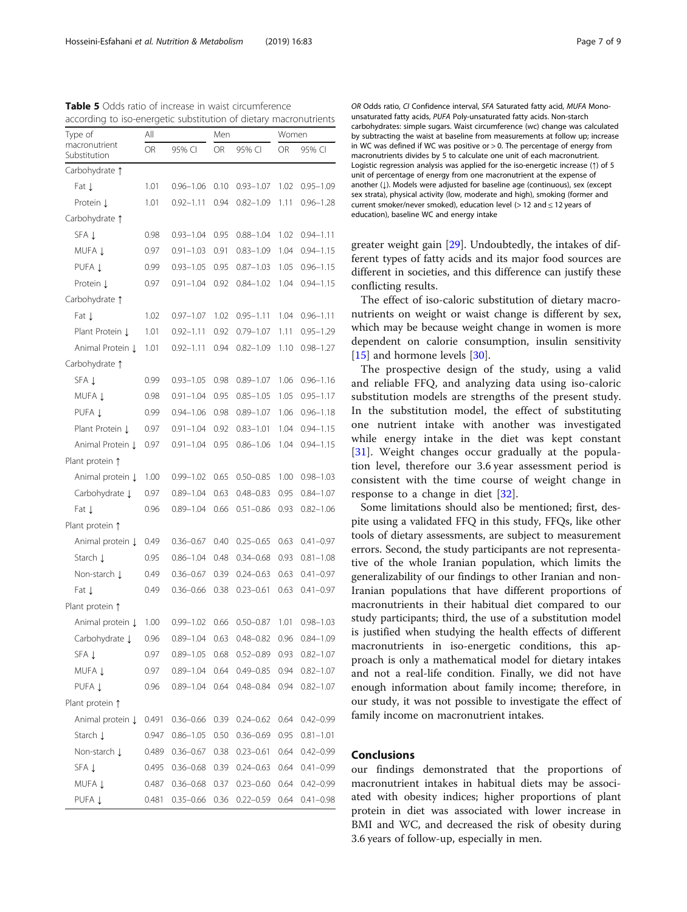<span id="page-6-0"></span>Table 5 Odds ratio of increase in waist circumference according to iso-energetic substitution of dietary macronutrients

| Type of                       | All   |               | Men  |               | Women |               |
|-------------------------------|-------|---------------|------|---------------|-------|---------------|
| macronutrient<br>Substitution | OR    | 95% CI        | OR   | 95% CI        | OR    | 95% CI        |
| Carbohydrate 1                |       |               |      |               |       |               |
| Fat J                         | 1.01  | $0.96 - 1.06$ | 0.10 | $0.93 - 1.07$ | 1.02  | $0.95 - 1.09$ |
| Protein L                     | 1.01  | $0.92 - 1.11$ | 0.94 | $0.82 - 1.09$ | 1.11  | $0.96 - 1.28$ |
| Carbohydrate 1                |       |               |      |               |       |               |
| SFA 1                         | 0.98  | $0.93 - 1.04$ | 0.95 | $0.88 - 1.04$ | 1.02  | $0.94 - 1.11$ |
| MUFA 1                        | 0.97  | $0.91 - 1.03$ | 0.91 | $0.83 - 1.09$ | 1.04  | $0.94 - 1.15$ |
| PUFA 1                        | 0.99  | $0.93 - 1.05$ | 0.95 | $0.87 - 1.03$ | 1.05  | $0.96 - 1.15$ |
| Protein L                     | 0.97  | $0.91 - 1.04$ | 0.92 | $0.84 - 1.02$ | 1.04  | $0.94 - 1.15$ |
| Carbohydrate 1                |       |               |      |               |       |               |
| Fat J                         | 1.02  | $0.97 - 1.07$ | 1.02 | $0.95 - 1.11$ | 1.04  | $0.96 - 1.11$ |
| Plant Protein J               | 1.01  | $0.92 - 1.11$ | 0.92 | $0.79 - 1.07$ | 1.11  | $0.95 - 1.29$ |
| Animal Protein Į              | 1.01  | $0.92 - 1.11$ | 0.94 | $0.82 - 1.09$ | 1.10  | $0.98 - 1.27$ |
| Carbohydrate 1                |       |               |      |               |       |               |
| SFA 1                         | 0.99  | $0.93 - 1.05$ | 0.98 | $0.89 - 1.07$ | 1.06  | $0.96 - 1.16$ |
| MUFA 1                        | 0.98  | $0.91 - 1.04$ | 0.95 | $0.85 - 1.05$ | 1.05  | $0.95 - 1.17$ |
| PUFA 1                        | 0.99  | $0.94 - 1.06$ | 0.98 | $0.89 - 1.07$ | 1.06  | $0.96 - 1.18$ |
| Plant Protein J               | 0.97  | $0.91 - 1.04$ | 0.92 | $0.83 - 1.01$ | 1.04  | $0.94 - 1.15$ |
| Animal Protein J              | 0.97  | $0.91 - 1.04$ | 0.95 | $0.86 - 1.06$ | 1.04  | $0.94 - 1.15$ |
| Plant protein 1               |       |               |      |               |       |               |
| Animal protein Į              | 1.00  | $0.99 - 1.02$ | 0.65 | $0.50 - 0.85$ | 1.00  | $0.98 - 1.03$ |
| Carbohydrate J                | 0.97  | $0.89 - 1.04$ | 0.63 | $0.48 - 0.83$ | 0.95  | $0.84 - 1.07$ |
| Fat J                         | 0.96  | $0.89 - 1.04$ | 0.66 | $0.51 - 0.86$ | 0.93  | $0.82 - 1.06$ |
| Plant protein 1               |       |               |      |               |       |               |
| Animal protein Į              | 0.49  | $0.36 - 0.67$ | 0.40 | $0.25 - 0.65$ | 0.63  | $0.41 - 0.97$ |
| Starch L                      | 0.95  | $0.86 - 1.04$ | 0.48 | $0.34 - 0.68$ | 0.93  | $0.81 - 1.08$ |
| Non-starch ↓                  | 0.49  | $0.36 - 0.67$ | 0.39 | $0.24 - 0.63$ | 0.63  | $0.41 - 0.97$ |
| Fat ↓                         | 0.49  | $0.36 - 0.66$ | 0.38 | $0.23 - 0.61$ | 0.63  | $0.41 - 0.97$ |
| Plant protein 1               |       |               |      |               |       |               |
| Animal protein Į              | 1.00  | $0.99 - 1.02$ | 0.66 | $0.50 - 0.87$ | 1.01  | $0.98 - 1.03$ |
| Carbohydrate J                | 0.96  | $0.89 - 1.04$ | 0.63 | 0.48-0.82     | 0.96  | $0.84 - 1.09$ |
| SFA Į                         | 0.97  | $0.89 - 1.05$ | 0.68 | $0.52 - 0.89$ | 0.93  | $0.82 - 1.07$ |
| MUFA Į                        | 0.97  | $0.89 - 1.04$ | 0.64 | $0.49 - 0.85$ | 0.94  | $0.82 - 1.07$ |
| PUFA Į                        | 0.96  | $0.89 - 1.04$ | 0.64 | $0.48 - 0.84$ | 0.94  | $0.82 - 1.07$ |
| Plant protein 1               |       |               |      |               |       |               |
| Animal protein Į              | 0.491 | $0.36 - 0.66$ | 0.39 | $0.24 - 0.62$ | 0.64  | $0.42 - 0.99$ |
| Starch Į                      | 0.947 | $0.86 - 1.05$ | 0.50 | $0.36 - 0.69$ | 0.95  | $0.81 - 1.01$ |
| Non-starch Į                  | 0.489 | $0.36 - 0.67$ | 0.38 | $0.23 - 0.61$ | 0.64  | $0.42 - 0.99$ |
| SFA Į                         | 0.495 | $0.36 - 0.68$ | 0.39 | $0.24 - 0.63$ | 0.64  | $0.41 - 0.99$ |
| MUFA Į                        | 0.487 | $0.36 - 0.68$ | 0.37 | $0.23 - 0.60$ | 0.64  | $0.42 - 0.99$ |
| PUFA J                        | 0.481 | $0.35 - 0.66$ | 0.36 | $0.22 - 0.59$ | 0.64  | $0.41 - 0.98$ |

OR Odds ratio, CI Confidence interval, SFA Saturated fatty acid, MUFA Monounsaturated fatty acids, PUFA Poly-unsaturated fatty acids. Non-starch carbohydrates: simple sugars. Waist circumference (wc) change was calculated by subtracting the waist at baseline from measurements at follow up; increase in WC was defined if WC was positive or  $>$  0. The percentage of energy from macronutrients divides by 5 to calculate one unit of each macronutrient. Logistic regression analysis was applied for the iso-energetic increase (↑) of 5 unit of percentage of energy from one macronutrient at the expense of another (1). Models were adjusted for baseline age (continuous), sex (except sex strata), physical activity (low, moderate and high), smoking (former and current smoker/never smoked), education level (> 12 and ≤ 12 years of education), baseline WC and energy intake

greater weight gain [\[29](#page-8-0)]. Undoubtedly, the intakes of different types of fatty acids and its major food sources are different in societies, and this difference can justify these conflicting results.

The effect of iso-caloric substitution of dietary macronutrients on weight or waist change is different by sex, which may be because weight change in women is more dependent on calorie consumption, insulin sensitivity [[15\]](#page-7-0) and hormone levels [\[30](#page-8-0)].

The prospective design of the study, using a valid and reliable FFQ, and analyzing data using iso-caloric substitution models are strengths of the present study. In the substitution model, the effect of substituting one nutrient intake with another was investigated while energy intake in the diet was kept constant [[31\]](#page-8-0). Weight changes occur gradually at the population level, therefore our 3.6 year assessment period is consistent with the time course of weight change in response to a change in diet [[32](#page-8-0)].

Some limitations should also be mentioned; first, despite using a validated FFQ in this study, FFQs, like other tools of dietary assessments, are subject to measurement errors. Second, the study participants are not representative of the whole Iranian population, which limits the generalizability of our findings to other Iranian and non-Iranian populations that have different proportions of macronutrients in their habitual diet compared to our study participants; third, the use of a substitution model is justified when studying the health effects of different macronutrients in iso-energetic conditions, this approach is only a mathematical model for dietary intakes and not a real-life condition. Finally, we did not have enough information about family income; therefore, in our study, it was not possible to investigate the effect of family income on macronutrient intakes.

## Conclusions

our findings demonstrated that the proportions of macronutrient intakes in habitual diets may be associated with obesity indices; higher proportions of plant protein in diet was associated with lower increase in BMI and WC, and decreased the risk of obesity during 3.6 years of follow-up, especially in men.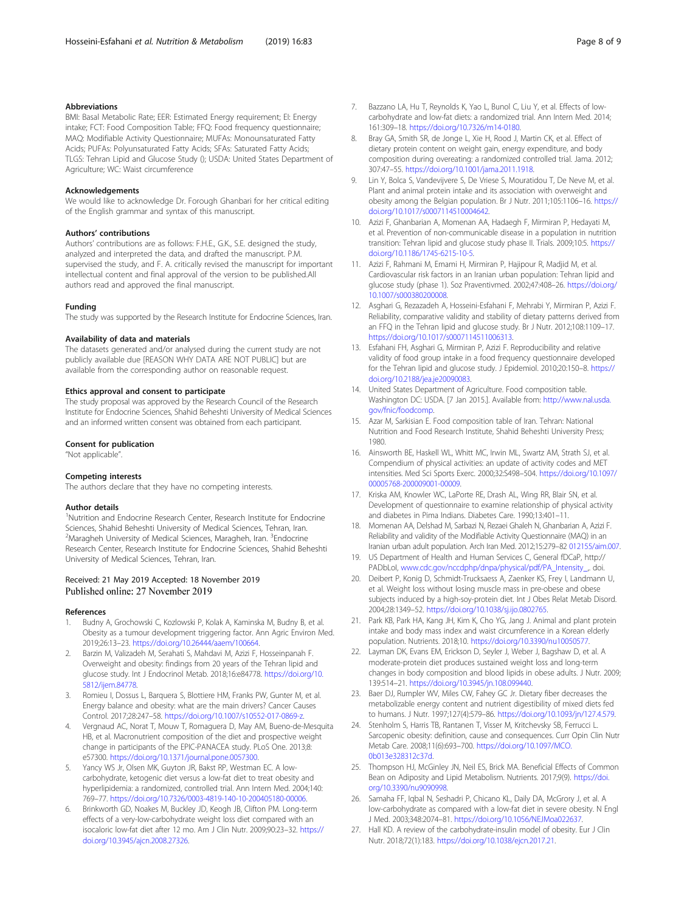## <span id="page-7-0"></span>Abbreviations

BMI: Basal Metabolic Rate; EER: Estimated Energy requirement; EI: Energy intake; FCT: Food Composition Table; FFQ: Food frequency questionnaire; MAQ: Modifiable Activity Questionnaire; MUFAs: Monounsaturated Fatty Acids; PUFAs: Polyunsaturated Fatty Acids; SFAs: Saturated Fatty Acids; TLGS: Tehran Lipid and Glucose Study (); USDA: United States Department of Agriculture; WC: Waist circumference

#### Acknowledgements

We would like to acknowledge Dr. Forough Ghanbari for her critical editing of the English grammar and syntax of this manuscript.

#### Authors' contributions

Authors' contributions are as follows: F.H.E., G.K., S.E. designed the study, analyzed and interpreted the data, and drafted the manuscript. P.M. supervised the study, and F. A. critically revised the manuscript for important intellectual content and final approval of the version to be published.All authors read and approved the final manuscript.

#### Funding

The study was supported by the Research Institute for Endocrine Sciences, Iran.

#### Availability of data and materials

The datasets generated and/or analysed during the current study are not publicly available due [REASON WHY DATA ARE NOT PUBLIC] but are available from the corresponding author on reasonable request.

#### Ethics approval and consent to participate

The study proposal was approved by the Research Council of the Research Institute for Endocrine Sciences, Shahid Beheshti University of Medical Sciences and an informed written consent was obtained from each participant.

#### Consent for publication

"Not applicable".

#### Competing interests

The authors declare that they have no competing interests.

#### Author details

<sup>1</sup>Nutrition and Endocrine Research Center, Research Institute for Endocrine Sciences, Shahid Beheshti University of Medical Sciences, Tehran, Iran. <sup>2</sup>Maragheh University of Medical Sciences, Maragheh, Iran. <sup>3</sup>Endocrine Research Center, Research Institute for Endocrine Sciences, Shahid Beheshti University of Medical Sciences, Tehran, Iran.

# Received: 21 May 2019 Accepted: 18 November 2019

## References

- 1. Budny A, Grochowski C, Kozlowski P, Kolak A, Kaminska M, Budny B, et al. Obesity as a tumour development triggering factor. Ann Agric Environ Med. 2019;26:13–23. <https://doi.org/10.26444/aaem/100664>.
- 2. Barzin M, Valizadeh M, Serahati S, Mahdavi M, Azizi F, Hosseinpanah F. Overweight and obesity: findings from 20 years of the Tehran lipid and glucose study. Int J Endocrinol Metab. 2018;16:e84778. [https://doi.org/10.](https://doi.org/10.5812/ijem.84778) [5812/ijem.84778](https://doi.org/10.5812/ijem.84778).
- 3. Romieu I, Dossus L, Barquera S, Blottiere HM, Franks PW, Gunter M, et al. Energy balance and obesity: what are the main drivers? Cancer Causes Control. 2017;28:247–58. [https://doi.org/10.1007/s10552-017-0869-z.](https://doi.org/10.1007/s10552-017-0869-z)
- 4. Vergnaud AC, Norat T, Mouw T, Romaguera D, May AM, Bueno-de-Mesquita HB, et al. Macronutrient composition of the diet and prospective weight change in participants of the EPIC-PANACEA study. PLoS One. 2013;8: e57300. <https://doi.org/10.1371/journal.pone.0057300>.
- 5. Yancy WS Jr, Olsen MK, Guyton JR, Bakst RP, Westman EC. A lowcarbohydrate, ketogenic diet versus a low-fat diet to treat obesity and hyperlipidemia: a randomized, controlled trial. Ann Intern Med. 2004;140: 769–77. <https://doi.org/10.7326/0003-4819-140-10-200405180-00006>.
- 6. Brinkworth GD, Noakes M, Buckley JD, Keogh JB, Clifton PM. Long-term effects of a very-low-carbohydrate weight loss diet compared with an isocaloric low-fat diet after 12 mo. Am J Clin Nutr. 2009;90:23–32. [https://](https://doi.org/10.3945/ajcn.2008.27326) [doi.org/10.3945/ajcn.2008.27326.](https://doi.org/10.3945/ajcn.2008.27326)
- 7. Bazzano LA, Hu T, Reynolds K, Yao L, Bunol C, Liu Y, et al. Effects of lowcarbohydrate and low-fat diets: a randomized trial. Ann Intern Med. 2014; 161:309–18. [https://doi.org/10.7326/m14-0180.](https://doi.org/10.7326/m14-0180)
- Bray GA, Smith SR, de Jonge L, Xie H, Rood J, Martin CK, et al. Effect of dietary protein content on weight gain, energy expenditure, and body composition during overeating: a randomized controlled trial. Jama. 2012; 307:47–55. <https://doi.org/10.1001/jama.2011.1918>.
- 9. Lin Y, Bolca S, Vandevijvere S, De Vriese S, Mouratidou T, De Neve M, et al. Plant and animal protein intake and its association with overweight and obesity among the Belgian population. Br J Nutr. 2011;105:1106–16. [https://](https://doi.org/10.1017/s0007114510004642) [doi.org/10.1017/s0007114510004642](https://doi.org/10.1017/s0007114510004642).
- 10. Azizi F, Ghanbarian A, Momenan AA, Hadaegh F, Mirmiran P, Hedayati M, et al. Prevention of non-communicable disease in a population in nutrition transition: Tehran lipid and glucose study phase II. Trials. 2009;10:5. [https://](https://doi.org/10.1186/1745-6215-10-5) [doi.org/10.1186/1745-6215-10-5](https://doi.org/10.1186/1745-6215-10-5).
- 11. Azizi F, Rahmani M, Emami H, Mirmiran P, Hajipour R, Madjid M, et al. Cardiovascular risk factors in an Iranian urban population: Tehran lipid and glucose study (phase 1). Soz Praventivmed. 2002;47:408–26. [https://doi.org/](https://doi.org/10.1007/s000380200008) [10.1007/s000380200008](https://doi.org/10.1007/s000380200008).
- 12. Asghari G, Rezazadeh A, Hosseini-Esfahani F, Mehrabi Y, Mirmiran P, Azizi F. Reliability, comparative validity and stability of dietary patterns derived from an FFQ in the Tehran lipid and glucose study. Br J Nutr. 2012;108:1109–17. <https://doi.org/10.1017/s0007114511006313>.
- 13. Esfahani FH, Asghari G, Mirmiran P, Azizi F. Reproducibility and relative validity of food group intake in a food frequency questionnaire developed for the Tehran lipid and glucose study. J Epidemiol. 2010;20:150–8. [https://](https://doi.org/10.2188/jea.je20090083) [doi.org/10.2188/jea.je20090083.](https://doi.org/10.2188/jea.je20090083)
- 14. United States Department of Agriculture. Food composition table. Washington DC: USDA. [7 Jan 2015.]. Available from: [http://www.nal.usda.](http://www.nal.usda.gov/fnic/foodcomp) [gov/fnic/foodcomp.](http://www.nal.usda.gov/fnic/foodcomp)
- 15. Azar M, Sarkisian E. Food composition table of Iran. Tehran: National Nutrition and Food Research Institute, Shahid Beheshti University Press; 1980.
- 16. Ainsworth BE, Haskell WL, Whitt MC, Irwin ML, Swartz AM, Strath SJ, et al. Compendium of physical activities: an update of activity codes and MET intensities. Med Sci Sports Exerc. 2000;32:S498–504. [https://doi.org/10.1097/](https://doi.org/10.1097/00005768-200009001-00009) [00005768-200009001-00009.](https://doi.org/10.1097/00005768-200009001-00009)
- 17. Kriska AM, Knowler WC, LaPorte RE, Drash AL, Wing RR, Blair SN, et al. Development of questionnaire to examine relationship of physical activity and diabetes in Pima Indians. Diabetes Care. 1990;13:401–11.
- 18. Momenan AA, Delshad M, Sarbazi N, Rezaei Ghaleh N, Ghanbarian A, Azizi F. Reliability and validity of the Modifiable Activity Questionnaire (MAQ) in an Iranian urban adult population. Arch Iran Med. 2012;15:279–82 [012155/aim.007](https://doi.org/012155/aim.007).
- 19. US Department of Health and Human Services C, General fDCaP, http:// PADbLoI, [www.cdc.gov/nccdphp/dnpa/physical/pdf/PA\\_Intensity\\_,](http://www.cdc.gov/nccdphp/dnpa/physical/pdf/PA_Intensity_). doi.
- 20. Deibert P, Konig D, Schmidt-Trucksaess A, Zaenker KS, Frey I, Landmann U, et al. Weight loss without losing muscle mass in pre-obese and obese subjects induced by a high-soy-protein diet. Int J Obes Relat Metab Disord. 2004;28:1349–52. <https://doi.org/10.1038/sj.ijo.0802765>.
- 21. Park KB, Park HA, Kang JH, Kim K, Cho YG, Jang J. Animal and plant protein intake and body mass index and waist circumference in a Korean elderly population. Nutrients. 2018;10. <https://doi.org/10.3390/nu10050577>.
- 22. Layman DK, Evans EM, Erickson D, Seyler J, Weber J, Bagshaw D, et al. A moderate-protein diet produces sustained weight loss and long-term changes in body composition and blood lipids in obese adults. J Nutr. 2009; 139:514–21. [https://doi.org/10.3945/jn.108.099440.](https://doi.org/10.3945/jn.108.099440)
- 23. Baer DJ, Rumpler WV, Miles CW, Fahey GC Jr. Dietary fiber decreases the metabolizable energy content and nutrient digestibility of mixed diets fed to humans. J Nutr. 1997;127(4):579–86. [https://doi.org/10.1093/jn/127.4.579.](https://doi.org/10.1093/jn/127.4.579)
- 24. Stenholm S, Harris TB, Rantanen T, Visser M, Kritchevsky SB, Ferrucci L. Sarcopenic obesity: definition, cause and consequences. Curr Opin Clin Nutr Metab Care. 2008;11(6):693–700. [https://doi.org/10.1097/MCO.](https://doi.org/10.1097/MCO.0b013e328312c37d) [0b013e328312c37d.](https://doi.org/10.1097/MCO.0b013e328312c37d)
- 25. Thompson HJ, McGinley JN, Neil ES, Brick MA. Beneficial Effects of Common Bean on Adiposity and Lipid Metabolism. Nutrients. 2017;9(9). [https://doi.](https://doi.org/10.3390/nu9090998) [org/10.3390/nu9090998](https://doi.org/10.3390/nu9090998).
- 26. Samaha FF, Iqbal N, Seshadri P, Chicano KL, Daily DA, McGrory J, et al. A low-carbohydrate as compared with a low-fat diet in severe obesity. N Engl J Med. 2003;348:2074–81. <https://doi.org/10.1056/NEJMoa022637>.
- 27. Hall KD. A review of the carbohydrate-insulin model of obesity. Eur J Clin Nutr. 2018;72(1):183. [https://doi.org/10.1038/ejcn.2017.21.](https://doi.org/10.1038/ejcn.2017.21)